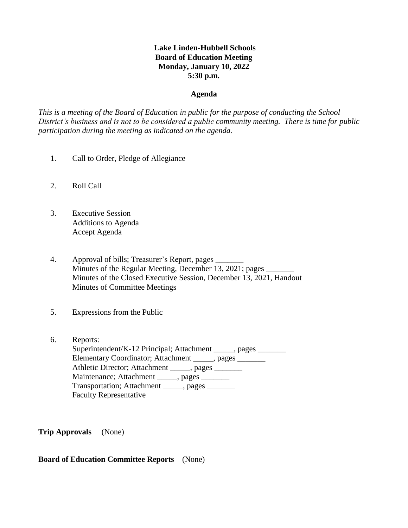# **Lake Linden-Hubbell Schools Board of Education Meeting Monday, January 10, 2022 5:30 p.m.**

### **Agenda**

*This is a meeting of the Board of Education in public for the purpose of conducting the School District's business and is not to be considered a public community meeting. There is time for public participation during the meeting as indicated on the agenda.*

- 1. Call to Order, Pledge of Allegiance
- 2. Roll Call
- 3. Executive Session Additions to Agenda Accept Agenda
- 4. Approval of bills; Treasurer's Report, pages \_\_\_\_\_\_\_ Minutes of the Regular Meeting, December 13, 2021; pages Minutes of the Closed Executive Session, December 13, 2021, Handout Minutes of Committee Meetings
- 5. Expressions from the Public
- 6. Reports: Superintendent/K-12 Principal; Attachment \_\_\_\_\_, pages \_\_\_\_\_\_\_ Elementary Coordinator; Attachment \_\_\_\_\_, pages \_\_\_\_\_\_ Athletic Director; Attachment \_\_\_\_\_, pages \_\_\_\_\_\_\_ Maintenance; Attachment \_\_\_\_\_, pages \_\_\_\_\_\_ Transportation; Attachment \_\_\_\_\_, pages \_\_\_\_\_\_\_ Faculty Representative

**Trip Approvals** (None)

# **Board of Education Committee Reports** (None)